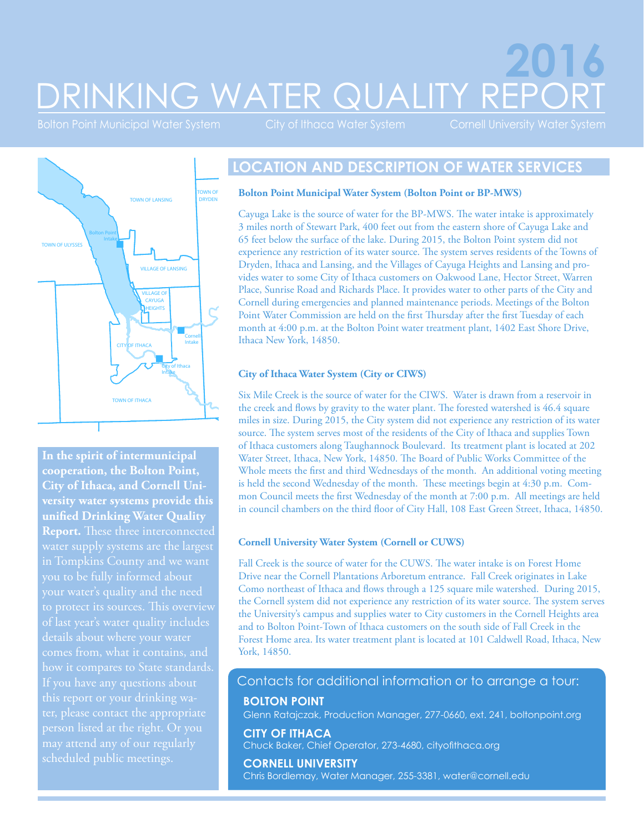# DRINKING WATER QUALITY REPORT **2016**

Bolton Point Municipal Water System City of Ithaca Water System Cornell University Water System



**In the spirit of intermunicipal cooperation, the Bolton Point, City of Ithaca, and Cornell University water systems provide this unified Drinking Water Quality Report.** These three interconnected water supply systems are the largest in Tompkins County and we want your water's quality and the need details about where your water comes from, what it contains, and this report or your drinking water, please contact the appropriate person listed at the right. Or you scheduled public meetings.

### **LOCATION AND DESCRIPTION OF WATER SERVICES**

#### **Bolton Point Municipal Water System (Bolton Point or BP-MWS)**

Cayuga Lake is the source of water for the BP-MWS. The water intake is approximately 3 miles north of Stewart Park, 400 feet out from the eastern shore of Cayuga Lake and 65 feet below the surface of the lake. During 2015, the Bolton Point system did not experience any restriction of its water source. The system serves residents of the Towns of Dryden, Ithaca and Lansing, and the Villages of Cayuga Heights and Lansing and provides water to some City of Ithaca customers on Oakwood Lane, Hector Street, Warren Place, Sunrise Road and Richards Place. It provides water to other parts of the City and Cornell during emergencies and planned maintenance periods. Meetings of the Bolton Point Water Commission are held on the first Thursday after the first Tuesday of each month at 4:00 p.m. at the Bolton Point water treatment plant, 1402 East Shore Drive, Ithaca New York, 14850.

#### **City of Ithaca Water System (City or CIWS)**

Six Mile Creek is the source of water for the CIWS. Water is drawn from a reservoir in the creek and flows by gravity to the water plant. The forested watershed is 46.4 square miles in size. During 2015, the City system did not experience any restriction of its water source. The system serves most of the residents of the City of Ithaca and supplies Town of Ithaca customers along Taughannock Boulevard. Its treatment plant is located at 202 Water Street, Ithaca, New York, 14850. The Board of Public Works Committee of the Whole meets the first and third Wednesdays of the month. An additional voting meeting is held the second Wednesday of the month. These meetings begin at 4:30 p.m. Common Council meets the first Wednesday of the month at 7:00 p.m. All meetings are held in council chambers on the third floor of City Hall, 108 East Green Street, Ithaca, 14850.

#### **Cornell University Water System (Cornell or CUWS)**

Fall Creek is the source of water for the CUWS. The water intake is on Forest Home Drive near the Cornell Plantations Arboretum entrance. Fall Creek originates in Lake Como northeast of Ithaca and flows through a 125 square mile watershed. During 2015, the Cornell system did not experience any restriction of its water source. The system serves the University's campus and supplies water to City customers in the Cornell Heights area and to Bolton Point-Town of Ithaca customers on the south side of Fall Creek in the Forest Home area. Its water treatment plant is located at 101 Caldwell Road, Ithaca, New York, 14850.

#### Contacts for additional information or to arrange a tour:

#### **BOLTON POINT**

Glenn Ratajczak, Production Manager, 277-0660, ext. 241, [boltonpoint.org](http://boltonpoint.org/)

**CITY OF ITHACA** Chuck Baker, Chief Operator, 273-4680, [cityofithaca.org](http://cityofithaca.org/)

**CORNELL UNIVERSITY** Chris Bordlemay, Water Manager, 255-3381, water@cornell.edu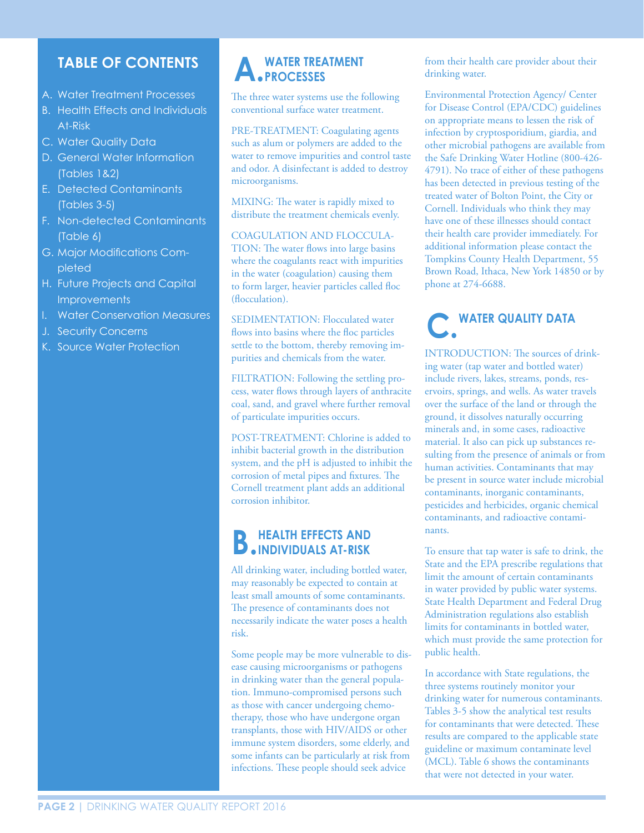### **TABLE OF CONTENTS**

- A. Water Treatment Processes
- B. Health Effects and Individuals At-Risk
- C. Water Quality Data
- D. General Water Information (Tables 1&2)
- E. Detected Contaminants (Tables 3-5)
- F. Non-detected Contaminants (Table 6)
- G. Major Modifications Completed
- H. Future Projects and Capital **Improvements**
- I. Water Conservation Measures
- J. Security Concerns
- K. Source Water Protection

# **A. WATER TREATMENT PROCESSES**

The three water systems use the following conventional surface water treatment.

PRE-TREATMENT: Coagulating agents such as alum or polymers are added to the water to remove impurities and control taste and odor. A disinfectant is added to destroy microorganisms.

MIXING: The water is rapidly mixed to distribute the treatment chemicals evenly.

COAGULATION AND FLOCCULA-TION: The water flows into large basins where the coagulants react with impurities in the water (coagulation) causing them to form larger, heavier particles called floc (flocculation).

SEDIMENTATION: Flocculated water flows into basins where the floc particles settle to the bottom, thereby removing impurities and chemicals from the water.

FILTRATION: Following the settling process, water flows through layers of anthracite coal, sand, and gravel where further removal of particulate impurities occurs.

POST-TREATMENT: Chlorine is added to inhibit bacterial growth in the distribution system, and the pH is adjusted to inhibit the corrosion of metal pipes and fixtures. The Cornell treatment plant adds an additional corrosion inhibitor.

# **B.HEALTH EFFECTS AND INDIVIDUALS AT-RISK**

All drinking water, including bottled water, may reasonably be expected to contain at least small amounts of some contaminants. The presence of contaminants does not necessarily indicate the water poses a health risk.

Some people may be more vulnerable to disease causing microorganisms or pathogens in drinking water than the general population. Immuno-compromised persons such as those with cancer undergoing chemotherapy, those who have undergone organ transplants, those with HIV/AIDS or other immune system disorders, some elderly, and some infants can be particularly at risk from infections. These people should seek advice

from their health care provider about their drinking water.

Environmental Protection Agency/ Center for Disease Control (EPA/CDC) guidelines on appropriate means to lessen the risk of infection by cryptosporidium, giardia, and other microbial pathogens are available from the Safe Drinking Water Hotline (800-426- 4791). No trace of either of these pathogens has been detected in previous testing of the treated water of Bolton Point, the City or Cornell. Individuals who think they may have one of these illnesses should contact their health care provider immediately. For additional information please contact the Tompkins County Health Department, 55 Brown Road, Ithaca, New York 14850 or by phone at 274-6688.

# **C. WATER QUALITY DATA**

INTRODUCTION: The sources of drinking water (tap water and bottled water) include rivers, lakes, streams, ponds, reservoirs, springs, and wells. As water travels over the surface of the land or through the ground, it dissolves naturally occurring minerals and, in some cases, radioactive material. It also can pick up substances resulting from the presence of animals or from human activities. Contaminants that may be present in source water include microbial contaminants, inorganic contaminants, pesticides and herbicides, organic chemical contaminants, and radioactive contaminants.

To ensure that tap water is safe to drink, the State and the EPA prescribe regulations that limit the amount of certain contaminants in water provided by public water systems. State Health Department and Federal Drug Administration regulations also establish limits for contaminants in bottled water, which must provide the same protection for public health.

In accordance with State regulations, the three systems routinely monitor your drinking water for numerous contaminants. Tables 3-5 show the analytical test results for contaminants that were detected. These results are compared to the applicable state guideline or maximum contaminate level (MCL). Table 6 shows the contaminants that were not detected in your water.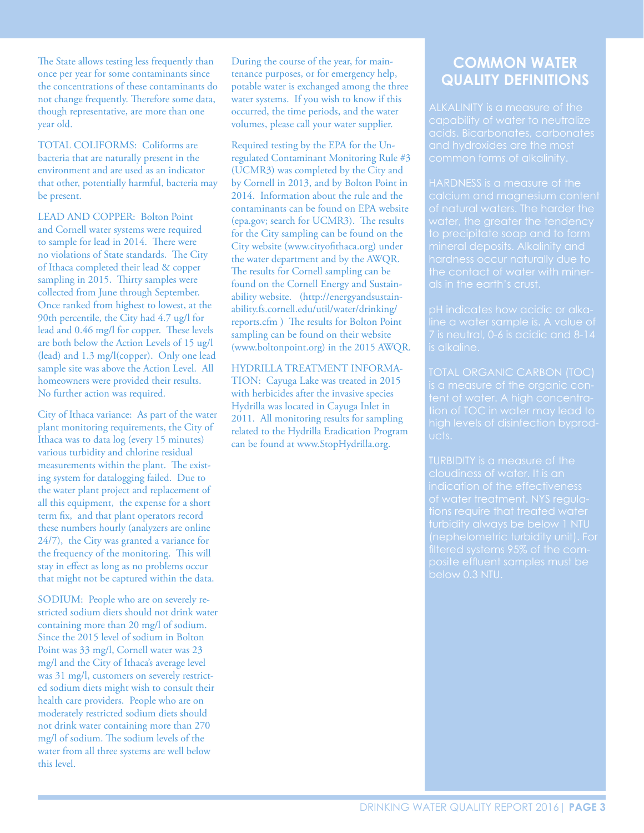The State allows testing less frequently than once per year for some contaminants since the concentrations of these contaminants do not change frequently. Therefore some data, though representative, are more than one year old.

TOTAL COLIFORMS: Coliforms are bacteria that are naturally present in the environment and are used as an indicator that other, potentially harmful, bacteria may be present.

LEAD AND COPPER: Bolton Point and Cornell water systems were required to sample for lead in 2014. There were no violations of State standards. The City of Ithaca completed their lead & copper sampling in 2015. Thirty samples were collected from June through September. Once ranked from highest to lowest, at the 90th percentile, the City had 4.7 ug/l for lead and 0.46 mg/l for copper. These levels are both below the Action Levels of 15 ug/l (lead) and 1.3 mg/l(copper). Only one lead sample site was above the Action Level. All homeowners were provided their results. No further action was required.

City of Ithaca variance: As part of the water plant monitoring requirements, the City of Ithaca was to data log (every 15 minutes) various turbidity and chlorine residual measurements within the plant. The existing system for datalogging failed. Due to the water plant project and replacement of all this equipment, the expense for a short term fix, and that plant operators record these numbers hourly (analyzers are online 24/7), the City was granted a variance for the frequency of the monitoring. This will stay in effect as long as no problems occur that might not be captured within the data.

SODIUM: People who are on severely restricted sodium diets should not drink water containing more than 20 mg/l of sodium. Since the 2015 level of sodium in Bolton Point was 33 mg/l, Cornell water was 23 mg/l and the City of Ithaca's average level was 31 mg/l, customers on severely restricted sodium diets might wish to consult their health care providers. People who are on moderately restricted sodium diets should not drink water containing more than 270 mg/l of sodium. The sodium levels of the water from all three systems are well below this level.

During the course of the year, for maintenance purposes, or for emergency help, potable water is exchanged among the three water systems. If you wish to know if this occurred, the time periods, and the water volumes, please call your water supplier.

Required testing by the EPA for the Unregulated Contaminant Monitoring Rule #3 (UCMR3) was completed by the City and by Cornell in 2013, and by Bolton Point in 2014. Information about the rule and the contaminants can be found on EPA website (epa.gov; search for UCMR3). The results for the City sampling can be found on the City website (www.cityofithaca.org) under the water department and by the AWQR. The results for Cornell sampling can be found on the Cornell Energy and Sustainability website. (http://energyandsustainability.fs.cornell.edu/util/water/drinking/ reports.cfm ) The results for Bolton Point sampling can be found on their website (www.boltonpoint.org) in the 2015 AWQR.

HYDRILLA TREATMENT INFORMA-TION: Cayuga Lake was treated in 2015 with herbicides after the invasive species Hydrilla was located in Cayuga Inlet in 2011. All monitoring results for sampling related to the Hydrilla Eradication Program can be found at www.StopHydrilla.org.

### **COMMON WATER QUALITY DEFINITIONS**

capability of water to neutralize

HARDNESS is a measure of the

pH indicates how acidic or alkais alkaline.

tion of TOC in water may lead to ucts.

below 0.3 NTU.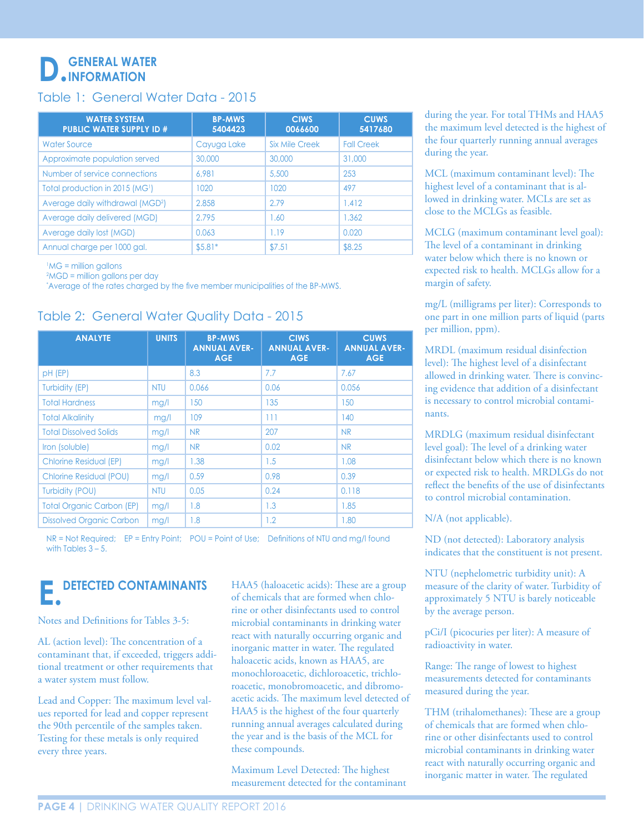# **D. GENERAL WATER INFORMATION**

#### Table 1: General Water Data - 2015

| <b>WATER SYSTEM</b><br><b>PUBLIC WATER SUPPLY ID #</b> | <b>BP-MWS</b><br>5404423 | <b>CIWS</b><br>0066600 | <b>CUWS</b><br>5417680 |
|--------------------------------------------------------|--------------------------|------------------------|------------------------|
| Water Source                                           | Cayuga Lake              | Six Mile Creek         | <b>Fall Creek</b>      |
| Approximate population served                          | 30,000                   | 30,000                 | 31,000                 |
| Number of service connections                          | 6.981                    | 5,500                  | 253                    |
| Total production in 2015 (MG <sup>1</sup> )            | 1020                     | 1020                   | 497                    |
| Average daily withdrawal (MGD <sup>2</sup> )           | 2.858                    | 2.79                   | 1.412                  |
| Average daily delivered (MGD)                          | 2.795                    | 1.60                   | 1.362                  |
| Average daily lost (MGD)                               | 0.063                    | 1.19                   | 0.020                  |
| Annual charge per 1000 gal.                            | $$5.81*$                 | \$7.51                 | \$8.25                 |

<sup>1</sup>MG = million gallons

2 MGD = million gallons per day

\* Average of the rates charged by the five member municipalities of the BP-MWS.

#### Table 2: General Water Quality Data - 2015

| <b>ANALYTE</b>                   | <b>UNITS</b> | <b>BP-MWS</b><br><b>ANNUAL AVER-</b><br><b>AGE</b> | <b>CIWS</b><br><b>ANNUAL AVER-</b><br><b>AGE</b> | <b>CUWS</b><br><b>ANNUAL AVER-</b><br><b>AGE</b> |
|----------------------------------|--------------|----------------------------------------------------|--------------------------------------------------|--------------------------------------------------|
| pH (EP)                          |              | 8.3                                                | 7.7                                              | 7.67                                             |
| Turbidity (EP)                   | <b>NTU</b>   | 0.066                                              | 0.06                                             | 0.056                                            |
| <b>Total Hardness</b>            | mg/l         | 150                                                | 135                                              | 150                                              |
| <b>Total Alkalinity</b>          | mg/l         | 109                                                | 111                                              | 140                                              |
| <b>Total Dissolved Solids</b>    | mg/l         | <b>NR</b>                                          | 207                                              | <b>NR</b>                                        |
| Iron (soluble)                   | mg/l         | <b>NR</b>                                          | 0.02                                             | <b>NR</b>                                        |
| <b>Chlorine Residual (EP)</b>    | mg/l         | 1.38                                               | 1.5                                              | 1.08                                             |
| <b>Chlorine Residual (POU)</b>   | mg/l         | 0.59                                               | 0.98                                             | 0.39                                             |
| <b>Turbidity (POU)</b>           | <b>NTU</b>   | 0.05                                               | 0.24                                             | 0.118                                            |
| <b>Total Organic Carbon (EP)</b> | mg/l         | 1.8                                                | 1.3                                              | 1.85                                             |
| <b>Dissolved Organic Carbon</b>  | mg/l         | 1.8                                                | 1.2                                              | 1.80                                             |

NR = Not Required; EP = Entry Point; POU = Point of Use; Definitions of NTU and mg/l found with Tables  $3 - 5$ .

# **E. DETECTED CONTAMINANTS**

Notes and Definitions for Tables 3-5:

AL (action level): The concentration of a contaminant that, if exceeded, triggers additional treatment or other requirements that a water system must follow.

Lead and Copper: The maximum level values reported for lead and copper represent the 90th percentile of the samples taken. Testing for these metals is only required every three years.

HAA5 (haloacetic acids): These are a group of chemicals that are formed when chlorine or other disinfectants used to control microbial contaminants in drinking water react with naturally occurring organic and inorganic matter in water. The regulated haloacetic acids, known as HAA5, are monochloroacetic, dichloroacetic, trichloroacetic, monobromoacetic, and dibromoacetic acids. The maximum level detected of HAA5 is the highest of the four quarterly running annual averages calculated during the year and is the basis of the MCL for these compounds.

Maximum Level Detected: The highest measurement detected for the contaminant during the year. For total THMs and HAA5 the maximum level detected is the highest of the four quarterly running annual averages during the year.

MCL (maximum contaminant level): The highest level of a contaminant that is allowed in drinking water. MCLs are set as close to the MCLGs as feasible.

MCLG (maximum contaminant level goal): The level of a contaminant in drinking water below which there is no known or expected risk to health. MCLGs allow for a margin of safety.

mg/L (milligrams per liter): Corresponds to one part in one million parts of liquid (parts per million, ppm).

MRDL (maximum residual disinfection level): The highest level of a disinfectant allowed in drinking water. There is convincing evidence that addition of a disinfectant is necessary to control microbial contaminants.

MRDLG (maximum residual disinfectant level goal): The level of a drinking water disinfectant below which there is no known or expected risk to health. MRDLGs do not reflect the benefits of the use of disinfectants to control microbial contamination.

N/A (not applicable).

ND (not detected): Laboratory analysis indicates that the constituent is not present.

NTU (nephelometric turbidity unit): A measure of the clarity of water. Turbidity of approximately 5 NTU is barely noticeable by the average person.

pCi/I (picocuries per liter): A measure of radioactivity in water.

Range: The range of lowest to highest measurements detected for contaminants measured during the year.

THM (trihalomethanes): These are a group of chemicals that are formed when chlorine or other disinfectants used to control microbial contaminants in drinking water react with naturally occurring organic and inorganic matter in water. The regulated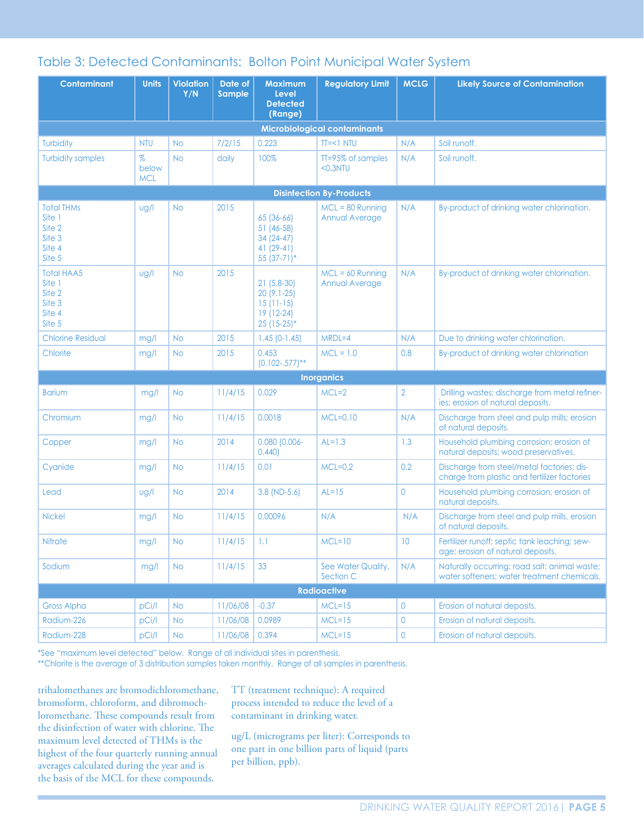### Table 3: Detected Contaminants: Bolton Point Municipal Water System

| <b>Contaminant</b>                                                  | <b>Units</b>                | <b>Violation</b><br>Y/N | Date of<br><b>Sample</b> | <b>Maximum</b><br><b>Level</b><br><b>Detected</b><br>(Range)            | <b>Regulatory Limit</b>              | <b>MCLG</b>     | <b>Likely Source of Contamination</b>                                                        |
|---------------------------------------------------------------------|-----------------------------|-------------------------|--------------------------|-------------------------------------------------------------------------|--------------------------------------|-----------------|----------------------------------------------------------------------------------------------|
|                                                                     |                             |                         |                          |                                                                         | <b>Microbiological contaminants</b>  |                 |                                                                                              |
| Turbidity                                                           | <b>NTU</b>                  | <b>No</b>               | 7/2/15                   | 0.223                                                                   | $TI=<1 NIU$                          | N/A             | Soil runoff.                                                                                 |
| <b>Turbidity samples</b>                                            | $\%$<br>below<br><b>MCL</b> | <b>No</b>               | daily                    | 100%                                                                    | TT=95% of samples<br>$0.3NTU$        | N/A             | Soil runoff.                                                                                 |
|                                                                     |                             |                         |                          |                                                                         | <b>Disinfection By-Products</b>      |                 |                                                                                              |
| <b>Total THMs</b><br>Site 1<br>Site 2<br>Site 3<br>Site 4<br>Site 5 | ug/l                        | <b>No</b>               | 2015                     | 65 (36-66)<br>51 (46-58)<br>34 (24-47)<br>$41(29-41)$<br>55 (37-71)*    | $MCL = 80$ Running<br>Annual Average | N/A             | By-product of drinking water chlorination.                                                   |
| <b>Total HAA5</b><br>Site 1<br>Site 2<br>Site 3<br>Site 4<br>Site 5 | ug/l                        | <b>No</b>               | 2015                     | $21(5.8-30)$<br>20 (9.1-25)<br>$15(11-15)$<br>19 (12-24)<br>25 (15-25)* | $MCL = 60$ Running<br>Annual Average | N/A             | By-product of drinking water chlorination.                                                   |
| <b>Chlorine Residual</b>                                            | mg/l                        | <b>No</b>               | 2015                     | $1.45$ (0-1.45)                                                         | $MRDL=4$                             | N/A             | Due to drinking water chlorination.                                                          |
| Chlorite                                                            | mg/l                        | <b>No</b>               | 2015                     | 0.453<br>$(0.102-.577)$ **                                              | $MCL = 1.0$                          | 0.8             | By-product of drinking water chlorination                                                    |
|                                                                     |                             |                         |                          |                                                                         | <b>Inorganics</b>                    |                 |                                                                                              |
| <b>Barium</b>                                                       | mg/l                        | <b>No</b>               | 11/4/15                  | 0.029                                                                   | $MCL=2$                              | $\overline{2}$  | Drilling wastes; discharge from metal refiner-<br>ies; erosion of natural deposits.          |
| Chromium                                                            | mg/l                        | <b>No</b>               | 11/4/15                  | 0.0018                                                                  | $MCL=0.10$                           | N/A             | Discharge from steel and pulp mills; erosion<br>of natural deposits.                         |
| Copper                                                              | mg/l                        | <b>No</b>               | 2014                     | $0.080$ (0.006-<br>0.440                                                | $AL=1.3$                             | 1.3             | Household plumbing corrosion; erosion of<br>natural deposits; wood preservatives.            |
| Cyanide                                                             | mg/l                        | <b>No</b>               | 11/4/15                  | 0.01                                                                    | $MCL=0.2$                            | 0.2             | Discharge from steel/metal factories; dis-<br>charge from plastic and fertilizer factories   |
| Lead                                                                | ug/l                        | <b>No</b>               | 2014                     | $3.8$ (ND-5.6)                                                          | $AL=15$                              | 0               | Household plumbing corrosion; erosion of<br>natural deposits.                                |
| <b>Nickel</b>                                                       | mg/l                        | <b>No</b>               | 11/4/15                  | 0.00096                                                                 | N/A                                  | N/A             | Discharge from steel and pulp mills, erosion<br>of natural deposits.                         |
| Nitrate                                                             | mg/l                        | <b>No</b>               | 11/4/15                  | 1.1                                                                     | $MCL=10$                             | 10 <sup>°</sup> | Fertilizer runoff; septic tank leaching; sew-<br>age; erosion of natural deposits.           |
| Sodium                                                              | mg/l                        | <b>No</b>               | 11/4/15                  | 33                                                                      | See Water Quality,<br>Section C      | N/A             | Naturally occurring; road salt; animal waste;<br>water softeners; water treatment chemicals. |
|                                                                     |                             |                         |                          |                                                                         | <b>Radioactive</b>                   |                 |                                                                                              |
| <b>Gross Alpha</b>                                                  | pCi/l                       | <b>No</b>               | 11/06/08                 | $-0.37$                                                                 | $MCL=15$                             | 0               | Erosion of natural deposits.                                                                 |
| Radium-226                                                          | pCi/l                       | <b>No</b>               | 11/06/08                 | 0.0989                                                                  | $MCL=15$                             | 0               | Erosion of natural deposits.                                                                 |
| Radium-228                                                          | pCi/l                       | <b>No</b>               | 11/06/08                 | 0.394                                                                   | $MCL=15$                             | 0               | Erosion of natural deposits.                                                                 |

\*See "maximum level detected" below. Range of all individual sites in parenthesis.

\*\*Chlorite is the average of 3 distribution samples taken monthly. Range of all samples in parenthesis.

trihalomethanes are bromodichloromethane, bromoform, chloroform, and dibromochloromethane. These compounds result from the disinfection of water with chlorine. The maximum level detected of THMs is the highest of the four quarterly running annual averages calculated during the year and is the basis of the MCL for these compounds.

TT (treatment technique): A required process intended to reduce the level of a contaminant in drinking water.

ug/L (micrograms per liter): Corresponds to one part in one billion parts of liquid (parts per billion, ppb).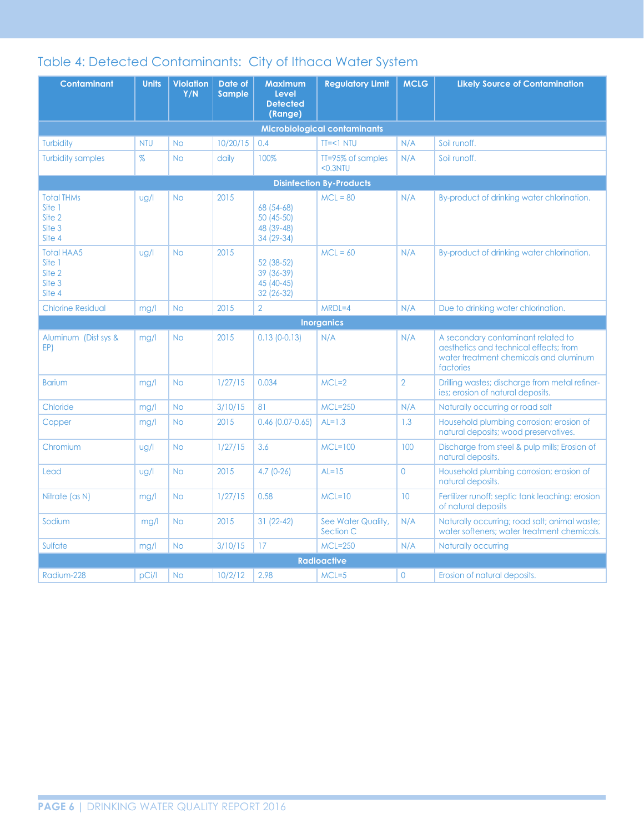### Table 4: Detected Contaminants: City of Ithaca Water System

| <b>Contaminant</b>                                        | <b>Units</b> | <b>Violation</b><br>Y/N | Date of<br>Sample | <b>Maximum</b><br>Level<br><b>Detected</b><br>(Range) | <b>Regulatory Limit</b>             | <b>MCLG</b>     | <b>Likely Source of Contamination</b>                                                                                               |
|-----------------------------------------------------------|--------------|-------------------------|-------------------|-------------------------------------------------------|-------------------------------------|-----------------|-------------------------------------------------------------------------------------------------------------------------------------|
|                                                           |              |                         |                   |                                                       | <b>Microbiological contaminants</b> |                 |                                                                                                                                     |
| <b>Turbidity</b>                                          | <b>NTU</b>   | <b>No</b>               | 10/20/15          | 0.4                                                   | $TI=<1 NIU$                         | N/A             | Soil runoff.                                                                                                                        |
| <b>Turbidity samples</b>                                  | $\%$         | <b>No</b>               | daily             | 100%                                                  | TT=95% of samples<br>$<$ 0.3NTU     | N/A             | Soil runoff.                                                                                                                        |
|                                                           |              |                         |                   |                                                       | <b>Disinfection By-Products</b>     |                 |                                                                                                                                     |
| <b>Total THMs</b><br>Site 1<br>Site 2<br>Site 3<br>Site 4 | $\log$       | <b>No</b>               | 2015              | 68 (54-68)<br>50 (45-50)<br>48 (39-48)<br>34 (29-34)  | $MCL = 80$                          | N/A             | By-product of drinking water chlorination.                                                                                          |
| <b>Total HAA5</b><br>Site 1<br>Site 2<br>Site 3<br>Site 4 | $\log$       | <b>No</b>               | 2015              | 52 (38-52)<br>39 (36-39)<br>45 (40-45)<br>32 (26-32)  | $MCL = 60$                          | N/A             | By-product of drinking water chlorination.                                                                                          |
| <b>Chlorine Residual</b>                                  | mg/l         | <b>No</b>               | 2015              | $\overline{2}$                                        | $MRDL=4$                            | N/A             | Due to drinking water chlorination.                                                                                                 |
|                                                           |              |                         |                   |                                                       | <b>Inorganics</b>                   |                 |                                                                                                                                     |
| Aluminum (Dist sys &<br>EP)                               | mg/l         | <b>No</b>               | 2015              | $0.13(0-0.13)$                                        | N/A                                 | N/A             | A secondary contaminant related to<br>aesthetics and technical effects: from<br>water treatment chemicals and aluminum<br>factories |
| <b>Barium</b>                                             | mg/l         | <b>No</b>               | 1/27/15           | 0.034                                                 | $MCL=2$                             | $\overline{2}$  | Drilling wastes; discharge from metal refiner-<br>ies; erosion of natural deposits.                                                 |
| Chloride                                                  | mg/l         | <b>No</b>               | 3/10/15           | 81                                                    | $MCL = 250$                         | N/A             | Naturally occurring or road salt                                                                                                    |
| Copper                                                    | mg/l         | <b>No</b>               | 2015              | $0.46$ (0.07-0.65)                                    | $AL=1.3$                            | 1.3             | Household plumbing corrosion; erosion of<br>natural deposits; wood preservatives.                                                   |
| Chromium                                                  | $\log$       | <b>No</b>               | 1/27/15           | 3.6                                                   | $MCL=100$                           | 100             | Discharge from steel & pulp mills; Erosion of<br>natural deposits.                                                                  |
| Lead                                                      | ug/l         | <b>No</b>               | 2015              | $4.7(0-26)$                                           | $AL=15$                             | 0               | Household plumbing corrosion; erosion of<br>natural deposits.                                                                       |
| Nitrate (as N)                                            | mg/l         | <b>No</b>               | 1/27/15           | 0.58                                                  | $MCL=10$                            | 10 <sup>°</sup> | Fertilizer runoff: septic tank leaching: erosion<br>of natural deposits                                                             |
| Sodium                                                    | mg/l         | <b>No</b>               | 2015              | $31(22-42)$                                           | See Water Quality,<br>Section C     | N/A             | Naturally occurring; road salt; animal waste;<br>water softeners; water treatment chemicals.                                        |
| Sulfate                                                   | mg/l         | <b>No</b>               | 3/10/15           | 17                                                    | <b>MCL=250</b>                      | N/A             | Naturally occurring                                                                                                                 |
|                                                           |              |                         |                   |                                                       | <b>Radioactive</b>                  |                 |                                                                                                                                     |
| Radium-228                                                | pCi/l        | <b>No</b>               | 10/2/12           | 2.98                                                  | $MCL = 5$                           | 0               | Erosion of natural deposits.                                                                                                        |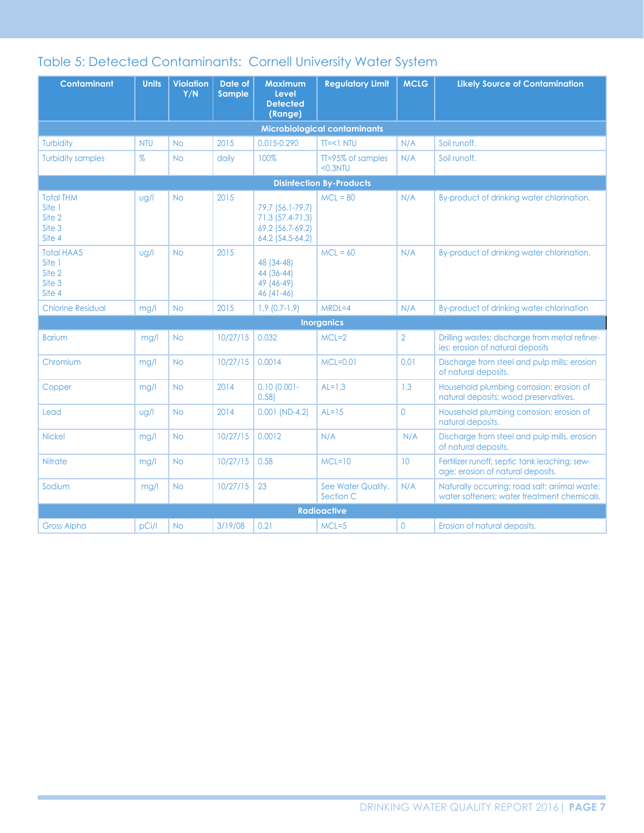### Table 5: Detected Contaminants: Cornell University Water System

| <b>Contaminant</b>                                        | <b>Units</b> | <b>Violation</b><br>Y/N | Date of<br>Sample | <b>Maximum</b><br>Level<br><b>Detected</b><br>(Range)                        | <b>Regulatory Limit</b>             | <b>MCLG</b>     | <b>Likely Source of Contamination</b>                                                        |
|-----------------------------------------------------------|--------------|-------------------------|-------------------|------------------------------------------------------------------------------|-------------------------------------|-----------------|----------------------------------------------------------------------------------------------|
|                                                           |              |                         |                   |                                                                              | <b>Microbiological contaminants</b> |                 |                                                                                              |
| Turbidity                                                 | <b>NTU</b>   | <b>No</b>               | 2015              | 0.015-0.290                                                                  | $TI=<1 NIU$                         | N/A             | Soil runoff.                                                                                 |
| <b>Turbidity samples</b>                                  | $\%$         | <b>No</b>               | daily             | 100%                                                                         | TT=95% of samples<br>$0.3NTU$       | N/A             | Soil runoff.                                                                                 |
|                                                           |              |                         |                   |                                                                              | <b>Disinfection By-Products</b>     |                 |                                                                                              |
| <b>Total THM</b><br>Site 1<br>Site 2<br>Site 3<br>Site 4  | ug/l         | <b>No</b>               | 2015              | 79.7 (56.1-79.7)<br>71.3 (57.4-71.3)<br>69.2 (56.7-69.2)<br>64.2 (54.5-64.2) | $MCL = 80$                          | N/A             | By-product of drinking water chlorination.                                                   |
| <b>Total HAA5</b><br>Site 1<br>Site 2<br>Site 3<br>Site 4 | ug/l         | <b>No</b>               | 2015              | 48 (34-48)<br>44 (36-44)<br>49 (46-49)<br>$46(41-46)$                        | $MCL = 60$                          | N/A             | By-product of drinking water chlorination.                                                   |
| <b>Chlorine Residual</b>                                  | mg/l         | <b>No</b>               | 2015              | $1.9(0.7-1.9)$                                                               | $MRDL=4$                            | N/A             | By-product of drinking water chlorination                                                    |
|                                                           |              |                         |                   |                                                                              | <b>Inorganics</b>                   |                 |                                                                                              |
| <b>Barium</b>                                             | mg/l         | <b>No</b>               | 10/27/15          | 0.032                                                                        | $MCL=2$                             | $\overline{2}$  | Drilling wastes; discharge from metal refiner-<br>jes: erosion of natural deposits           |
| Chromium                                                  | mg/l         | <b>No</b>               | 10/27/15          | 0.0014                                                                       | $MCL=0.01$                          | 0.01            | Discharge from steel and pulp mills; erosion<br>of natural deposits.                         |
| Copper                                                    | mg/l         | <b>No</b>               | 2014              | $0.10$ (0.001-<br>0.58                                                       | $AL=1.3$                            | 1.3             | Household plumbing corrosion; erosion of<br>natural deposits; wood preservatives.            |
| Lead                                                      | $\log$       | <b>No</b>               | 2014              | $0.001$ (ND-4.2)                                                             | $AL=15$                             | $\Omega$        | Household plumbing corrosion; erosion of<br>natural deposits.                                |
| <b>Nickel</b>                                             | mg/l         | <b>No</b>               | 10/27/15          | 0.0012                                                                       | N/A                                 | N/A             | Discharge from steel and pulp mills, erosion<br>of natural deposits.                         |
| Nitrate                                                   | mg/l         | <b>No</b>               | 10/27/15          | 0.58                                                                         | $MCL=10$                            | 10 <sup>°</sup> | Fertilizer runoff; septic tank leaching; sew-<br>age; erosion of natural deposits.           |
| Sodium                                                    | mg/l         | <b>No</b>               | 10/27/15          | 23                                                                           | See Water Quality,<br>Section C     | N/A             | Naturally occurring; road salt; animal waste;<br>water softeners; water treatment chemicals. |
|                                                           |              |                         |                   |                                                                              | <b>Radioactive</b>                  |                 |                                                                                              |
| <b>Gross Alpha</b>                                        | pCi/l        | <b>No</b>               | 3/19/08           | 0.21                                                                         | $MCL = 5$                           | 0               | Erosion of natural deposits.                                                                 |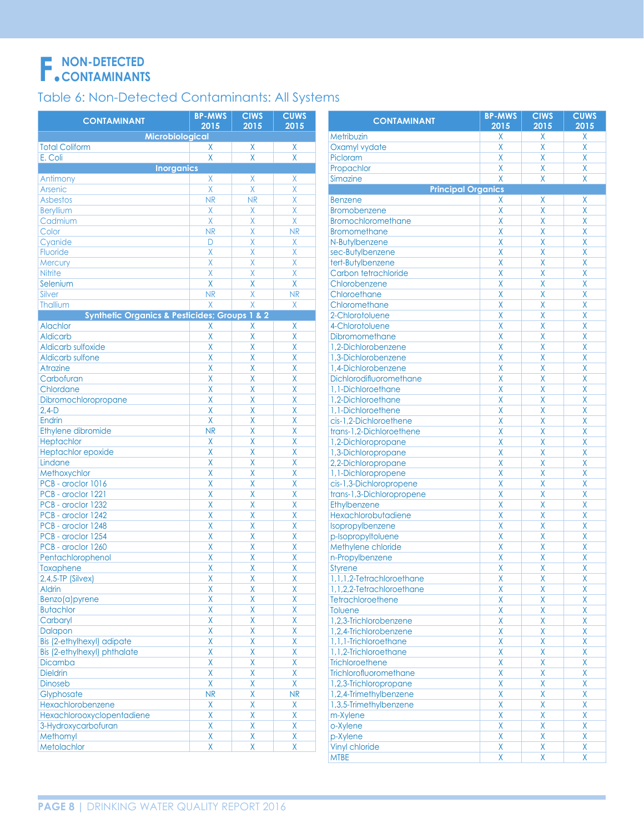# NON-DETECTED

### Table 6: Non-Detected Contaminants: All Systems

| <b>CONTAMINANT</b>                                           | <b>BP-MWS</b><br>2015 | <b>CIWS</b><br>2015 | <b>CUWS</b><br>2015 | <b>CONTAMINANT</b>        | <b>BP-MWS</b><br>2015 | <b>CIWS</b><br>2015 | <b>CUWS</b><br>2015     |
|--------------------------------------------------------------|-----------------------|---------------------|---------------------|---------------------------|-----------------------|---------------------|-------------------------|
| <b>Microbiological</b>                                       |                       |                     |                     | Metribuzin                | Χ                     | Χ                   | X.                      |
| <b>Total Coliform</b>                                        | X                     | X                   | X                   | Oxamyl vydate             | X                     | X                   | Χ                       |
| E. Coli                                                      | $\mathsf{X}$          | X                   | $\sf X$             | Picloram                  | X                     | X                   | Χ                       |
| <b>Inorganics</b>                                            |                       |                     |                     | Propachlor                | X                     | X                   | Χ                       |
| Antimony                                                     | X                     | X                   | X                   | Simazine                  | X                     | X                   | Χ                       |
| Arsenic                                                      | $\sf X$               | X                   | X                   | <b>Principal Organics</b> |                       |                     |                         |
| <b>Asbestos</b>                                              | <b>NR</b>             | <b>NR</b>           | X                   | <b>Benzene</b>            | X                     | Χ                   | Χ                       |
| <b>Beryllium</b>                                             | X                     | X                   | X                   | <b>Bromobenzene</b>       | X                     | X                   | X                       |
| Cadmium                                                      | X                     | X                   | X                   | <b>Bromochloromethane</b> | X                     | X                   | Χ                       |
| Color                                                        | <b>NR</b>             | X                   | <b>NR</b>           | <b>Bromomethane</b>       | X                     | X                   | Χ                       |
| Cyanide                                                      | D                     | X                   | X                   | N-Butylbenzene            | X                     | X                   | Χ                       |
| Fluoride                                                     | $\sf X$               | X                   | X                   | sec-Butylbenzene          | X                     | X                   | X                       |
| Mercury                                                      | $\chi$                | X                   | $\pmb{\mathsf{X}}$  | tert-Butylbenzene         | X                     | X                   | X                       |
| Nitrite                                                      | $\chi$                | $\sf X$             | X                   | Carbon tetrachloride      | X                     | X                   | X                       |
| Selenium                                                     | $\sf X$               | X                   | Χ                   | Chlorobenzene             | X                     | X                   | X                       |
| Silver                                                       | <b>NR</b>             | X                   | <b>NR</b>           | Chloroethane              | X                     | X                   | X                       |
| Thallium                                                     | X                     | X                   |                     | Chloromethane             | X                     | X                   | Χ                       |
|                                                              |                       |                     | $\mathsf X$         |                           | X                     | X                   |                         |
| <b>Synthetic Organics &amp; Pesticides; Groups 1 &amp; 2</b> |                       |                     |                     | 2-Chlorotoluene           | X                     | X                   | X                       |
| Alachlor                                                     | X                     | X                   | X                   | 4-Chlorotoluene           |                       |                     | X                       |
| <b>Aldicarb</b>                                              | $\sf X$               | X                   | X                   | Dibromomethane            | X                     | X                   | Χ                       |
| Aldicarb sulfoxide                                           | $\sf X$               | X                   | X                   | 1,2-Dichlorobenzene       | X                     | X                   | X                       |
| Aldicarb sulfone                                             | $\sf X$               | X                   | X                   | 1,3-Dichlorobenzene       | X                     | X                   | X                       |
| Atrazine                                                     | $\sf X$               | X                   | X                   | 1,4-Dichlorobenzene       | X                     | X                   | Χ                       |
| Carbofuran                                                   | $\sf X$               | X                   | X                   | Dichlorodifluoromethane   | X                     | X                   | X                       |
| Chlordane                                                    | $\sf X$               | X                   | X                   | 1,1-Dichloroethane        | X                     | X                   | X                       |
| Dibromochloropropane                                         | $\sf X$               | X                   | X                   | 1,2-Dichloroethane        | X                     | X                   | Χ                       |
| $2,4-D$                                                      | $\sf X$               | X                   | X                   | 1,1-Dichloroethene        | X                     | X                   | X                       |
| Endrin                                                       | $\sf X$               | X                   | X                   | cis-1,2-Dichloroethene    | X                     | X                   | Χ                       |
| Ethylene dibromide                                           | <b>NR</b>             | X                   | X                   | trans-1,2-Dichloroethene  | X                     | X                   | Χ                       |
| Heptachlor                                                   | X                     | X                   | X                   | 1,2-Dichloropropane       | X                     | X                   | X                       |
| Heptachlor epoxide                                           | $\sf X$               | X                   | X                   | 1,3-Dichloropropane       | X                     | X                   | X                       |
| Lindane                                                      | $\sf X$               | X                   | X                   | 2,2-Dichloropropane       | X                     | X                   | Χ                       |
| Methoxychlor                                                 | $\sf X$               | X                   | X                   | 1,1-Dichloropropene       | X                     | X                   | X                       |
| PCB - aroclor 1016                                           | $\sf X$               | X                   | X                   | cis-1,3-Dichloropropene   | X                     | X                   | X                       |
| PCB - aroclor 1221                                           | $\sf X$               | X                   | X                   | trans-1,3-Dichloropropene | X                     | X                   | Χ                       |
| PCB - aroclor 1232                                           | $\pmb{\mathsf{X}}$    | X                   | X                   | Ethylbenzene              | X                     | X                   | X                       |
| PCB - aroclor 1242                                           | $\sf X$               | X                   | X                   | Hexachlorobutadiene       | X                     | X                   | X                       |
| PCB - aroclor 1248                                           | $\sf X$               | X                   | X                   | Isopropylbenzene          | X                     | X                   | Χ                       |
| PCB - aroclor 1254                                           | $\sf X$               | X                   | X                   | p-Isopropyltoluene        | X                     | X                   | X                       |
| PCB - aroclor 1260                                           | $\sf X$               | X                   | X                   | Methylene chloride        | X                     | X                   | Χ                       |
| Pentachlorophenol                                            | $\sf X$               | X                   | X                   | n-Propylbenzene           | X                     | Χ                   | Χ                       |
| Toxaphene                                                    | $\sf X$               | X                   | X                   | <b>Styrene</b>            | X                     | X                   | Χ                       |
| $2,4,5$ -TP (Silvex)                                         | X                     | Χ                   | X                   | 1,1,1,2-Tetrachloroethane | X                     | X                   | $\overline{X}$          |
| <b>Aldrin</b>                                                | X                     | X                   | Χ                   | 1,1,2,2-Tetrachloroethane | Χ                     | Χ                   | Χ                       |
| Benzo(a)pyrene                                               | $\mathsf{X}$          | X                   | Χ                   | Tetrachloroethene         | X                     | X                   | X                       |
| <b>Butachlor</b>                                             | X                     | Χ                   | Χ                   | Toluene                   | X                     | X                   | Χ                       |
| Carbaryl                                                     | X                     | X                   | Χ                   | 1,2,3-Trichlorobenzene    | Χ                     | Χ                   | X                       |
| Dalapon                                                      | X                     | X                   | Χ                   | 1,2,4-Trichlorobenzene    | X                     | Χ                   | X                       |
| Bis (2-ethylhexyl) adipate                                   | $\pmb{\mathsf{X}}$    | Χ                   | Χ                   | 1,1,1-Trichloroethane     | X                     | X                   | X                       |
|                                                              | X                     |                     |                     |                           | Χ                     | Χ                   | X                       |
| Bis (2-ethylhexyl) phthalate                                 |                       | X                   | Χ                   | 1,1,2-Trichloroethane     |                       |                     |                         |
| Dicamba                                                      | X                     | X                   | Χ                   | Trichloroethene           | X                     | X                   | Χ                       |
| <b>Dieldrin</b>                                              | X                     | Χ                   | Χ                   | Trichlorofluoromethane    | X                     | X                   | Χ                       |
| Dinoseb                                                      | X                     | X                   | Χ                   | 1,2,3-Trichloropropane    | Χ                     | Χ                   | X                       |
| Glyphosate                                                   | NR                    | X                   | <b>NR</b>           | 1,2,4-Trimethylbenzene    | X                     | X                   | Χ                       |
| Hexachlorobenzene                                            | $\mathsf{X}$          | Χ                   | Χ                   | 1,3,5-Trimethylbenzene    | X                     | X                   | X                       |
| Hexachlorooxyclopentadiene                                   | $\pmb{\mathsf{X}}$    | X                   | Χ                   | m-Xylene                  | Χ                     | Χ                   | X                       |
| 3-Hydroxycarbofuran                                          | X                     | X                   | Χ                   | o-Xylene                  | X                     | X                   | Χ                       |
| Methomyl                                                     | $\pmb{\mathsf{X}}$    | Χ                   | Χ                   | p-Xylene                  | X                     | X                   | Χ                       |
| Metolachlor                                                  | $\mathsf{X}$          | X                   | Χ                   | Vinyl chloride            | χ                     | Χ                   | X                       |
|                                                              |                       |                     |                     | <b>MTBE</b>               | X                     | Χ                   | $\overline{\mathsf{X}}$ |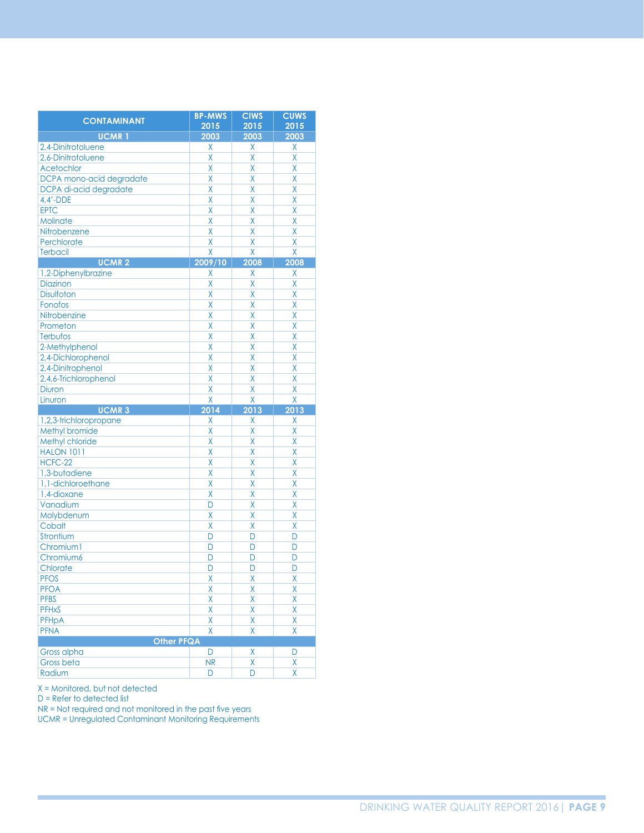| <b>CONTAMINANT</b>                  | <b>BP-MWS</b>  | <b>CIWS</b>             | <b>CUWS</b>             |
|-------------------------------------|----------------|-------------------------|-------------------------|
|                                     | 2015           | 2015                    | 2015                    |
| <b>UCMR1</b>                        | 2003           | 2003                    | 2003                    |
| 2.4-Dinitrotoluene                  | Χ              | Χ                       | Χ                       |
| 2,6-Dinitrotoluene                  | X              | X                       | X                       |
| <b>Acetochlor</b>                   | X              | X                       | X                       |
| DCPA mono-acid degradate            | X              | X                       | X                       |
| DCPA di-acid degradate              | X              | X                       | X                       |
| $4,4'$ -DDE                         | X              | X                       | X                       |
| <b>EPTC</b>                         | X              | X                       | X                       |
| Molinate                            | X              | X                       | $\overline{\mathsf{x}}$ |
| Nitrobenzene                        | X              | X                       | X                       |
| Perchlorate                         | X              | X                       | X                       |
| <b>Terbacil</b>                     | X              | X                       | $\overline{\mathsf{x}}$ |
| <b>UCMR2</b>                        | 2009/10        | 2008                    | 2008                    |
| 1,2-Diphenylbrazine                 | Χ              | Χ                       | Χ                       |
| Diazinon                            | X              | X                       | X                       |
| <b>Disulfoton</b>                   | X              | X                       | X                       |
| Fonofos                             | X              | X                       | X                       |
| Nitrobenzine                        | X              | X                       | X                       |
| Prometon                            | X              | X                       | X                       |
| Terbufos                            | X              | X                       | X                       |
| 2-Methylphenol                      | X              | X                       | X                       |
| 2,4-Dichlorophenol                  | X              | X                       | X                       |
| 2,4-Dinitrophenol                   | X              | Χ                       | X                       |
| 2,4,6-Trichlorophenol               | X              | X                       | $\overline{\mathsf{x}}$ |
| <b>Diuron</b>                       | X              | X                       | X                       |
|                                     |                |                         |                         |
| Linuron                             | X              | X                       | X                       |
| <b>UCMR3</b>                        | 2014           | 2013                    | 2013                    |
| 1,2,3-trichloropropane              | Χ              | Χ                       | X                       |
| Methyl bromide                      | X              | X                       | X                       |
| Methyl chloride                     | X              | X                       | X                       |
| <b>HALON 1011</b>                   | X              | X                       | X                       |
| HCFC-22                             | X              | X                       | X                       |
|                                     | X              | X                       | X                       |
| 1,3-butadiene<br>1,1-dichloroethane | X              | X                       | X                       |
| 1,4-dioxane                         | X              | X                       | X                       |
| Vanadium                            | D              | X                       | X                       |
|                                     | X              | X                       | X                       |
| Molybdenum<br>Cobalt                | X              | X                       | X                       |
|                                     | D              | D                       | D                       |
| Strontium<br>Chromium1              | D              | D                       | D                       |
|                                     | D              | D                       | D                       |
| Chromium6                           | D              | D                       |                         |
| Chlorate                            | X              | X                       | D                       |
| <b>PFOS</b>                         |                |                         | X                       |
| <b>PFOA</b>                         | Χ              | X                       | X                       |
| <b>PFBS</b>                         | X              | X                       | $\overline{\mathsf{x}}$ |
| <b>PFHxS</b>                        | X              | $\overline{\mathsf{X}}$ | X                       |
| PFHpA                               | Χ              | Χ                       | Χ                       |
| <b>PFNA</b>                         | X              | X                       | X                       |
| <b>Other PFQA</b>                   |                |                         |                         |
| Gross alpha<br><b>Gross beta</b>    | D<br><b>NR</b> | Χ<br>X                  | D<br>Χ                  |

X = Monitored, but not detected

 $D =$  Refer to detected list

NR = Not required and not monitored in the past five years<br>UCMR = Unregulated Contaminant Monitoring Requirements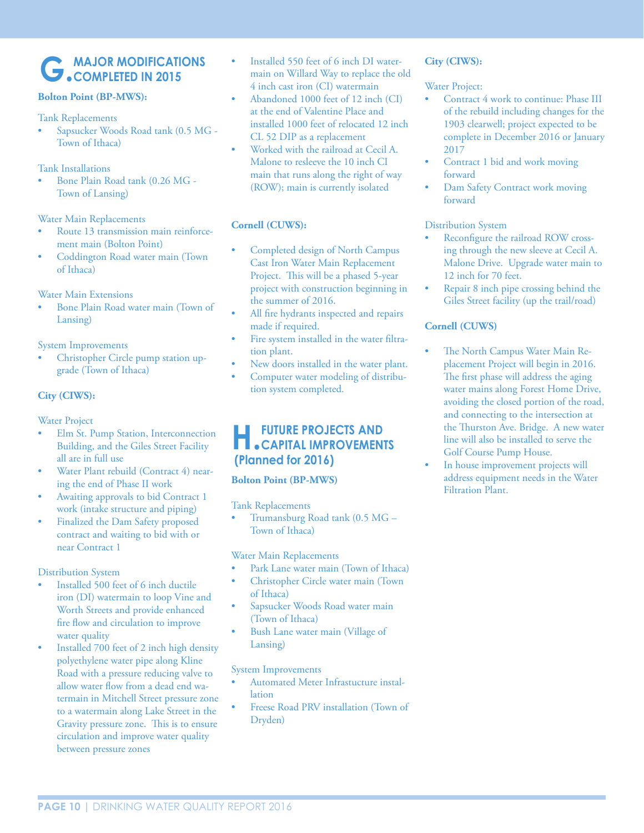### **G. MAJOR MODIFICATIONS COMPLETED IN 2015**

#### **Bolton Point (BP-MWS):**

#### Tank Replacements

• Sapsucker Woods Road tank (0.5 MG - Town of Ithaca)

Tank Installations

• Bone Plain Road tank (0.26 MG - Town of Lansing)

#### Water Main Replacements

- Route 13 transmission main reinforcement main (Bolton Point)
- Coddington Road water main (Town of Ithaca)

#### Water Main Extensions

• Bone Plain Road water main (Town of Lansing)

System Improvements

• Christopher Circle pump station upgrade (Town of Ithaca)

#### **City (CIWS):**

#### Water Project

- Elm St. Pump Station, Interconnection Building, and the Giles Street Facility all are in full use
- Water Plant rebuild (Contract 4) nearing the end of Phase II work
- Awaiting approvals to bid Contract 1 work (intake structure and piping)
- Finalized the Dam Safety proposed contract and waiting to bid with or near Contract 1

#### Distribution System

- Installed 500 feet of 6 inch ductile iron (DI) watermain to loop Vine and Worth Streets and provide enhanced fire flow and circulation to improve water quality
- Installed 700 feet of 2 inch high density polyethylene water pipe along Kline Road with a pressure reducing valve to allow water flow from a dead end watermain in Mitchell Street pressure zone to a watermain along Lake Street in the Gravity pressure zone. This is to ensure circulation and improve water quality between pressure zones
- Installed 550 feet of 6 inch DI watermain on Willard Way to replace the old 4 inch cast iron (CI) watermain
- Abandoned 1000 feet of 12 inch (CI) at the end of Valentine Place and installed 1000 feet of relocated 12 inch CL 52 DIP as a replacement
- Worked with the railroad at Cecil A. Malone to resleeve the 10 inch CI main that runs along the right of way (ROW); main is currently isolated

#### **Cornell (CUWS):**

- Completed design of North Campus Cast Iron Water Main Replacement Project. This will be a phased 5-year project with construction beginning in the summer of 2016.
- All fire hydrants inspected and repairs made if required.
- Fire system installed in the water filtration plant.
- New doors installed in the water plant.
- Computer water modeling of distribution system completed.

## **H.FUTURE PROJECTS AND CAPITAL IMPROVEMENTS (Planned for 2016)**

#### **Bolton Point (BP-MWS)**

#### Tank Replacements

• Trumansburg Road tank (0.5 MG – Town of Ithaca)

#### Water Main Replacements

- Park Lane water main (Town of Ithaca) • Christopher Circle water main (Town of Ithaca)
- Sapsucker Woods Road water main (Town of Ithaca)
- Bush Lane water main (Village of Lansing)

#### System Improvements

- Automated Meter Infrastucture installation
- Freese Road PRV installation (Town of Dryden)

#### **City (CIWS):**

#### Water Project:

- Contract 4 work to continue: Phase III of the rebuild including changes for the 1903 clearwell; project expected to be complete in December 2016 or January 2017
- Contract 1 bid and work moving forward
- Dam Safety Contract work moving forward

#### Distribution System

- Reconfigure the railroad ROW crossing through the new sleeve at Cecil A. Malone Drive. Upgrade water main to 12 inch for 70 feet.
- Repair 8 inch pipe crossing behind the Giles Street facility (up the trail/road)

#### **Cornell (CUWS)**

- The North Campus Water Main Replacement Project will begin in 2016. The first phase will address the aging water mains along Forest Home Drive, avoiding the closed portion of the road, and connecting to the intersection at the Thurston Ave. Bridge. A new water line will also be installed to serve the Golf Course Pump House.
- In house improvement projects will address equipment needs in the Water Filtration Plant.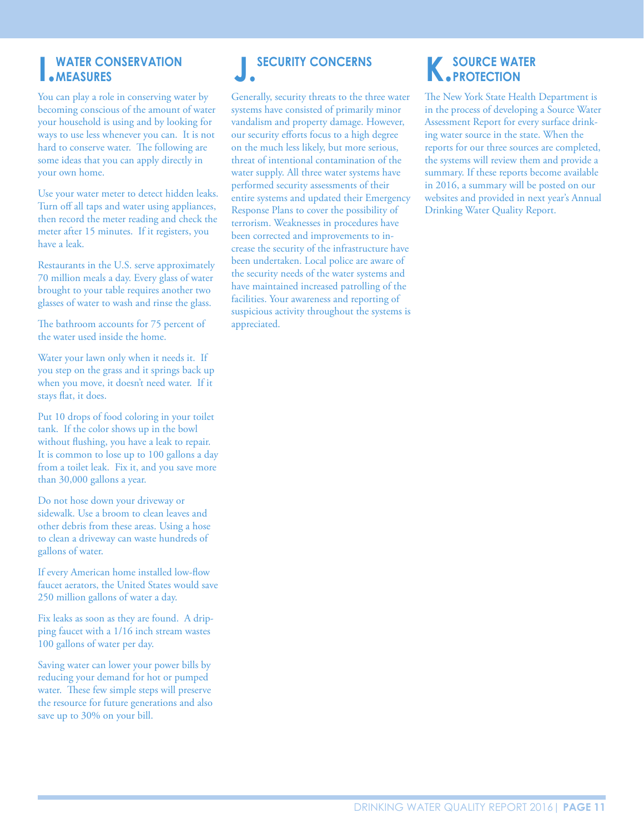### **I.WATER CONSERVATION**<br>• MEASURES **MEASURES J.** SECURITY CONCERNS<br> **MEASURES MEASURES**

You can play a role in conserving water by becoming conscious of the amount of water your household is using and by looking for ways to use less whenever you can. It is not hard to conserve water. The following are some ideas that you can apply directly in your own home.

Use your water meter to detect hidden leaks. Turn off all taps and water using appliances, then record the meter reading and check the meter after 15 minutes. If it registers, you have a leak.

Restaurants in the U.S. serve approximately 70 million meals a day. Every glass of water brought to your table requires another two glasses of water to wash and rinse the glass.

The bathroom accounts for 75 percent of the water used inside the home.

Water your lawn only when it needs it. If you step on the grass and it springs back up when you move, it doesn't need water. If it stays flat, it does.

Put 10 drops of food coloring in your toilet tank. If the color shows up in the bowl without flushing, you have a leak to repair. It is common to lose up to 100 gallons a day from a toilet leak. Fix it, and you save more than 30,000 gallons a year.

Do not hose down your driveway or sidewalk. Use a broom to clean leaves and other debris from these areas. Using a hose to clean a driveway can waste hundreds of gallons of water.

If every American home installed low-flow faucet aerators, the United States would save 250 million gallons of water a day.

Fix leaks as soon as they are found. A dripping faucet with a 1/16 inch stream wastes 100 gallons of water per day.

Saving water can lower your power bills by reducing your demand for hot or pumped water. These few simple steps will preserve the resource for future generations and also save up to 30% on your bill.

Generally, security threats to the three water systems have consisted of primarily minor vandalism and property damage. However, our security efforts focus to a high degree on the much less likely, but more serious, threat of intentional contamination of the water supply. All three water systems have performed security assessments of their entire systems and updated their Emergency Response Plans to cover the possibility of terrorism. Weaknesses in procedures have been corrected and improvements to increase the security of the infrastructure have been undertaken. Local police are aware of the security needs of the water systems and have maintained increased patrolling of the facilities. Your awareness and reporting of suspicious activity throughout the systems is appreciated.

The New York State Health Department is in the process of developing a Source Water Assessment Report for every surface drinking water source in the state. When the reports for our three sources are completed, the systems will review them and provide a summary. If these reports become available in 2016, a summary will be posted on our websites and provided in next year's Annual Drinking Water Quality Report.